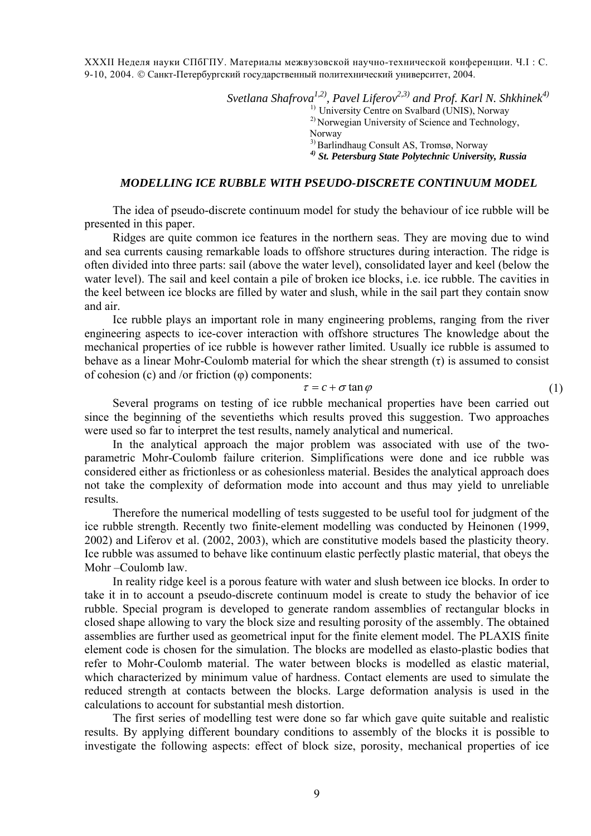XXXII Неделя науки СПбГПУ. Материалы межвузовской научно-технической конференции. Ч.I : С. 9-10, 2004. © Санкт-Петербургский государственный политехнический университет, 2004.

> *Svetlana Shafrova<sup>1,2)</sup>, Pavel Liferov*<sup>2,3)</sup> and Prof. Karl N. Shkhinek<sup>4)</sup> <sup>1)</sup> University Centre on Svalbard (UNIS), Norway <sup>2)</sup> Norwegian University of Science and Technology, Norway 3) Barlindhaug Consult AS, Tromsø, Norway *4) St. Petersburg State Polytechnic University, Russia*

## *MODELLING ICE RUBBLE WITH PSEUDO-DISCRETE CONTINUUM MODEL*

The idea of pseudo-discrete continuum model for study the behaviour of ice rubble will be presented in this paper.

Ridges are quite common ice features in the northern seas. They are moving due to wind and sea currents causing remarkable loads to offshore structures during interaction. The ridge is often divided into three parts: sail (above the water level), consolidated layer and keel (below the water level). The sail and keel contain a pile of broken ice blocks, i.e. ice rubble. The cavities in the keel between ice blocks are filled by water and slush, while in the sail part they contain snow and air.

Ice rubble plays an important role in many engineering problems, ranging from the river engineering aspects to ice-cover interaction with offshore structures The knowledge about the mechanical properties of ice rubble is however rather limited. Usually ice rubble is assumed to behave as a linear Mohr-Coulomb material for which the shear strength  $(\tau)$  is assumed to consist of cohesion (c) and /or friction (φ) components:

## $\tau = c + \sigma \tan \varphi$  (1)

Several programs on testing of ice rubble mechanical properties have been carried out since the beginning of the seventieths which results proved this suggestion. Two approaches were used so far to interpret the test results, namely analytical and numerical.

In the analytical approach the major problem was associated with use of the twoparametric Mohr-Coulomb failure criterion. Simplifications were done and ice rubble was considered either as frictionless or as cohesionless material. Besides the analytical approach does not take the complexity of deformation mode into account and thus may yield to unreliable results.

Therefore the numerical modelling of tests suggested to be useful tool for judgment of the ice rubble strength. Recently two finite-element modelling was conducted by Heinonen (1999, 2002) and Liferov et al. (2002, 2003), which are constitutive models based the plasticity theory. Ice rubble was assumed to behave like continuum elastic perfectly plastic material, that obeys the Mohr –Coulomb law.

In reality ridge keel is a porous feature with water and slush between ice blocks. In order to take it in to account a pseudo-discrete continuum model is create to study the behavior of ice rubble. Special program is developed to generate random assemblies of rectangular blocks in closed shape allowing to vary the block size and resulting porosity of the assembly. The obtained assemblies are further used as geometrical input for the finite element model. The PLAXIS finite element code is chosen for the simulation. The blocks are modelled as elasto-plastic bodies that refer to Mohr-Coulomb material. The water between blocks is modelled as elastic material, which characterized by minimum value of hardness. Contact elements are used to simulate the reduced strength at contacts between the blocks. Large deformation analysis is used in the calculations to account for substantial mesh distortion.

The first series of modelling test were done so far which gave quite suitable and realistic results. By applying different boundary conditions to assembly of the blocks it is possible to investigate the following aspects: effect of block size, porosity, mechanical properties of ice